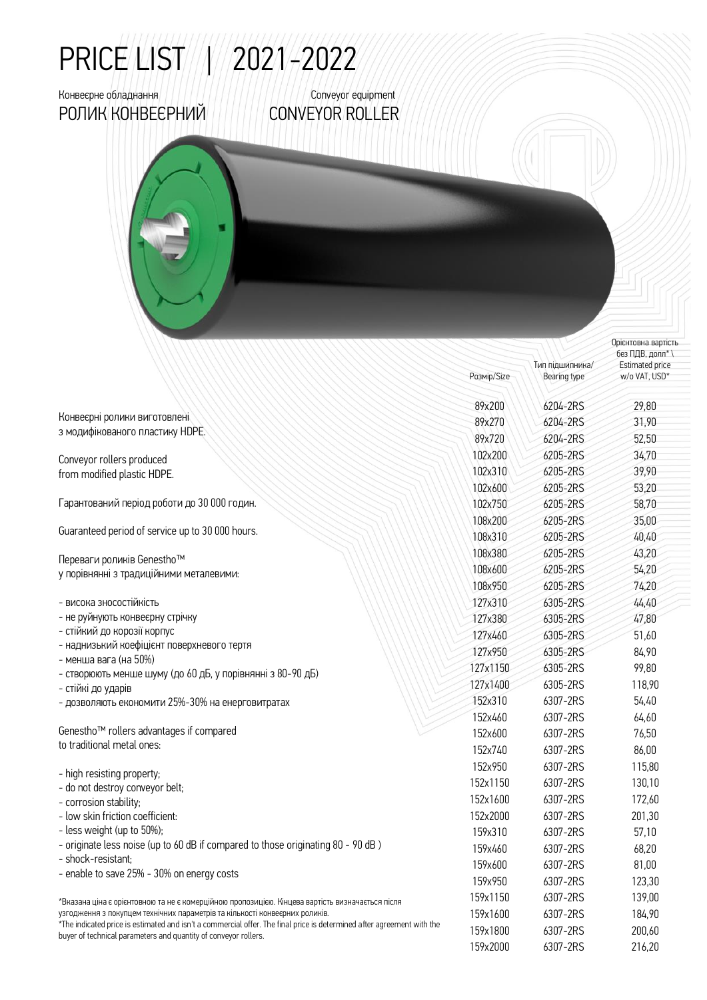## PRICE LIST | | | 2021-2022

## РОЛИК КОНВЕЄРНИЙ CONVEYOR ROLLER

Конвеєрне обладнання Conveyor equipment

з модифікованого пластику HDPE. Conveyor rollers produced from modified plastic HDPE.

Гарантований період роботи до 30 000 годин.

Guaranteed period of service up to 30 000 hours.

Переваги роликів Genestho™ у порівнянні з традиційними металевими:

- висока зносостійкість
- не руйнують конвеєрну стрічку

Конвеєрні ролики виготовлені

- стійкий до корозії корпус
- наднизький коефіцієнт поверхневого тертя
- менша вага (на 50%)
- створюють менше шуму (до 60 дБ, у порівнянні з 80-90 дБ)
- стійкі до ударів
- дозволяють економити 25%-30% на енерговитратах

Genestho™ rollers advantages if compared to traditional metal ones:

- high resisting property; - do not destroy conveyor belt; - corrosion stability; - low skin friction coefficient: - less weight (up to 50%);
- originate less noise (up to 60 dB if compared to those originating 80 90 dB )
- shock-resistant;
- enable to save 25% 30% on energy costs

\*Вказана ціна є орієнтовною та не є комерційною пропозицією. Кінцева вартість визначається після узгодження з покупцем технічних параметрів та кількості конвеєрних роликів.

\*The indicated price is estimated and isn't a commercial offer. The final price is determined aſter agreement with the buyer of technical parameters and quantity of conveyor rollers.

| Розмір/Size | Bearing type | w/o VAT, USD* |
|-------------|--------------|---------------|
| 89x200      | 6204-2RS     | 29,80         |
| 89x270      | 6204-2RS     | 31,90         |
| 89x720      | 6204-2RS     | 52,50         |
| 102x200     | 6205-2RS     | 34,70         |
| 102x310     | 6205-2RS     | 39,90         |
| 102x600     | 6205-2RS     | 53,20         |
| 102x750     | 6205-2RS     | 58,70         |
| 108x200     | 6205-2RS     | 35,00         |
| 108x310     | 6205-2RS     | 40,40         |
| 108x380     | 6205-2RS     | 43,20         |
| 108x600     | 6205-2RS     | 54,20         |
| 108x950     | 6205-2RS     | 74,20         |
| 127x310     | 6305-2RS     | 44,40         |
| 127x380     | 6305-2RS     | 47,80         |
| 127x460     | 6305-2RS     | 51,60         |
| 127x950     | 6305-2RS     | 84,90         |
| 127x1150    | 6305-2RS     | 99,80         |
| 127x1400    | 6305-2RS     | 118,90        |
| 152x310     | 6307-2RS     | 54,40         |
| 152x460     | 6307-2RS     | 64,60         |
| 152x600     | 6307-2RS     | 76,50         |
| 152x740     | 6307-2RS     | 86,00         |
| 152x950     | 6307-2RS     | 115,80        |
| 152x1150    | 6307-2RS     | 130,10        |
| 152x1600    | 6307-2RS     | 172,60        |
| 152x2000    | 6307-2RS     | 201,30        |
| 159x310     | 6307-2RS     | 57,10         |
| 159x460     | 6307-2RS     | 68,20         |
| 159x600     | 6307-2RS     | 81,00         |
| 159x950     | 6307-2RS     | 123,30        |
| 159x1150    | 6307-2RS     | 139,00        |
| 159x1600    | 6307-2RS     | 184,90        |
| 159x1800    | 6307-2RS     | 200,60        |
| 159x2000    | 6307-2RS     | 216.20        |

Тип підшипника/

Орієнтовна вартість без ПДВ, долл\* \ Estimated price